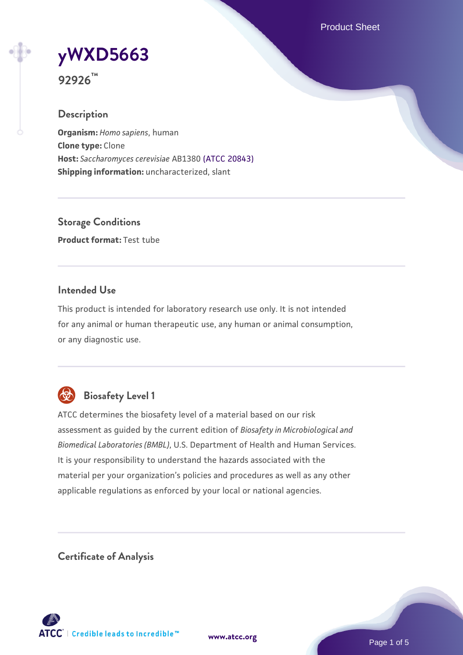Product Sheet

# **[yWXD5663](https://www.atcc.org/products/92926)**

**92926™**

## **Description**

**Organism:** *Homo sapiens*, human **Clone type:** Clone **Host:** *Saccharomyces cerevisiae* AB1380 [\(ATCC 20843\)](https://www.atcc.org/products/20843) **Shipping information:** uncharacterized, slant

**Storage Conditions Product format:** Test tube

## **Intended Use**

This product is intended for laboratory research use only. It is not intended for any animal or human therapeutic use, any human or animal consumption, or any diagnostic use.



## **Biosafety Level 1**

ATCC determines the biosafety level of a material based on our risk assessment as guided by the current edition of *Biosafety in Microbiological and Biomedical Laboratories (BMBL)*, U.S. Department of Health and Human Services. It is your responsibility to understand the hazards associated with the material per your organization's policies and procedures as well as any other applicable regulations as enforced by your local or national agencies.

**Certificate of Analysis**

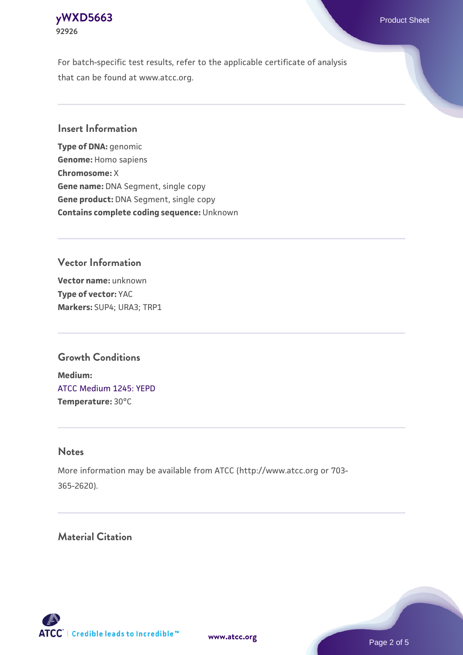For batch-specific test results, refer to the applicable certificate of analysis that can be found at www.atcc.org.

## **Insert Information**

**Type of DNA:** genomic **Genome:** Homo sapiens **Chromosome:** X **Gene name:** DNA Segment, single copy **Gene product:** DNA Segment, single copy **Contains complete coding sequence:** Unknown

## **Vector Information**

**Vector name:** unknown **Type of vector:** YAC **Markers:** SUP4; URA3; TRP1

## **Growth Conditions**

**Medium:**  [ATCC Medium 1245: YEPD](https://www.atcc.org/-/media/product-assets/documents/microbial-media-formulations/1/2/4/5/atcc-medium-1245.pdf?rev=705ca55d1b6f490a808a965d5c072196) **Temperature:** 30°C

#### **Notes**

More information may be available from ATCC (http://www.atcc.org or 703- 365-2620).

## **Material Citation**



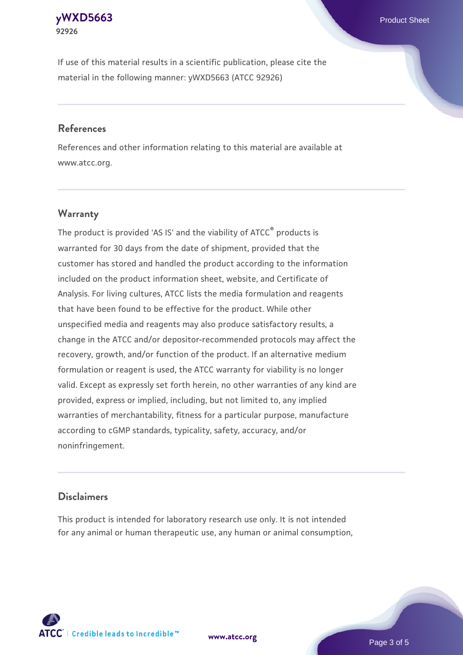If use of this material results in a scientific publication, please cite the material in the following manner: yWXD5663 (ATCC 92926)

#### **References**

References and other information relating to this material are available at www.atcc.org.

## **Warranty**

The product is provided 'AS IS' and the viability of  $ATCC<sup>®</sup>$  products is warranted for 30 days from the date of shipment, provided that the customer has stored and handled the product according to the information included on the product information sheet, website, and Certificate of Analysis. For living cultures, ATCC lists the media formulation and reagents that have been found to be effective for the product. While other unspecified media and reagents may also produce satisfactory results, a change in the ATCC and/or depositor-recommended protocols may affect the recovery, growth, and/or function of the product. If an alternative medium formulation or reagent is used, the ATCC warranty for viability is no longer valid. Except as expressly set forth herein, no other warranties of any kind are provided, express or implied, including, but not limited to, any implied warranties of merchantability, fitness for a particular purpose, manufacture according to cGMP standards, typicality, safety, accuracy, and/or noninfringement.

#### **Disclaimers**

This product is intended for laboratory research use only. It is not intended for any animal or human therapeutic use, any human or animal consumption,

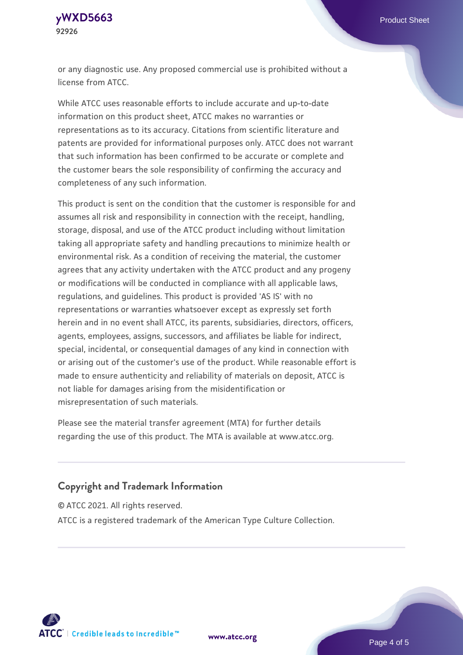or any diagnostic use. Any proposed commercial use is prohibited without a license from ATCC.

While ATCC uses reasonable efforts to include accurate and up-to-date information on this product sheet, ATCC makes no warranties or representations as to its accuracy. Citations from scientific literature and patents are provided for informational purposes only. ATCC does not warrant that such information has been confirmed to be accurate or complete and the customer bears the sole responsibility of confirming the accuracy and completeness of any such information.

This product is sent on the condition that the customer is responsible for and assumes all risk and responsibility in connection with the receipt, handling, storage, disposal, and use of the ATCC product including without limitation taking all appropriate safety and handling precautions to minimize health or environmental risk. As a condition of receiving the material, the customer agrees that any activity undertaken with the ATCC product and any progeny or modifications will be conducted in compliance with all applicable laws, regulations, and guidelines. This product is provided 'AS IS' with no representations or warranties whatsoever except as expressly set forth herein and in no event shall ATCC, its parents, subsidiaries, directors, officers, agents, employees, assigns, successors, and affiliates be liable for indirect, special, incidental, or consequential damages of any kind in connection with or arising out of the customer's use of the product. While reasonable effort is made to ensure authenticity and reliability of materials on deposit, ATCC is not liable for damages arising from the misidentification or misrepresentation of such materials.

Please see the material transfer agreement (MTA) for further details regarding the use of this product. The MTA is available at www.atcc.org.

#### **Copyright and Trademark Information**

© ATCC 2021. All rights reserved.

ATCC is a registered trademark of the American Type Culture Collection.



**[www.atcc.org](http://www.atcc.org)**